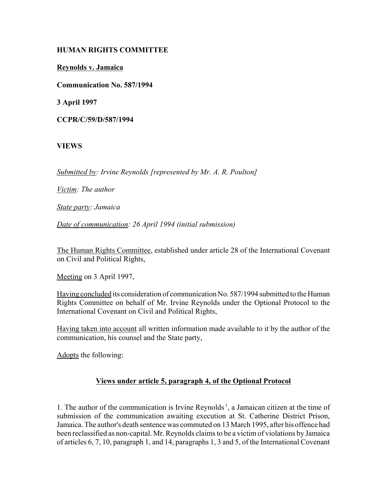# **HUMAN RIGHTS COMMITTEE**

**Reynolds v. Jamaica**

**Communication No. 587/1994**

**3 April 1997**

**CCPR/C/59/D/587/1994**

# **VIEWS**

*Submitted by: Irvine Reynolds [represented by Mr. A. R. Poulton]* 

*Victim: The author* 

*State party: Jamaica* 

*Date of communication: 26 April 1994 (initial submission)* 

The Human Rights Committee, established under article 28 of the International Covenant on Civil and Political Rights,

Meeting on 3 April 1997,

Having concluded its consideration of communication No. 587/1994 submitted to the Human Rights Committee on behalf of Mr. Irvine Reynolds under the Optional Protocol to the International Covenant on Civil and Political Rights,

Having taken into account all written information made available to it by the author of the communication, his counsel and the State party,

Adopts the following:

#### **Views under article 5, paragraph 4, of the Optional Protocol**

1. The author of the communication is Irvine Reynolds<sup>1</sup>, a Jamaican citizen at the time of submission of the communication awaiting execution at St. Catherine District Prison, Jamaica. The author's death sentence was commuted on 13 March 1995, after his offence had been reclassified as non-capital. Mr. Reynolds claims to be a victim of violations by Jamaica of articles 6, 7, 10, paragraph 1, and 14, paragraphs 1, 3 and 5, of the International Covenant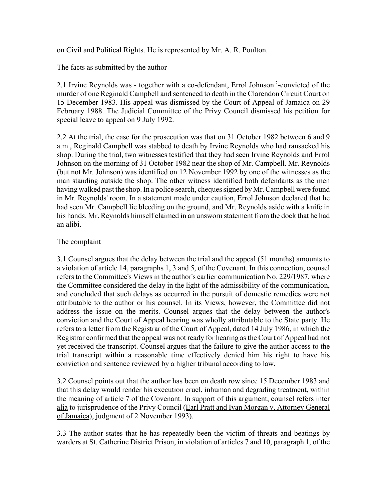on Civil and Political Rights. He is represented by Mr. A. R. Poulton.

### The facts as submitted by the author

2.1 Irvine Reynolds was - together with a co-defendant, Errol Johnson 2-convicted of the murder of one Reginald Campbell and sentenced to death in the Clarendon Circuit Court on 15 December 1983. His appeal was dismissed by the Court of Appeal of Jamaica on 29 February 1988. The Judicial Committee of the Privy Council dismissed his petition for special leave to appeal on 9 July 1992.

2.2 At the trial, the case for the prosecution was that on 31 October 1982 between 6 and 9 a.m., Reginald Campbell was stabbed to death by Irvine Reynolds who had ransacked his shop. During the trial, two witnesses testified that they had seen Irvine Reynolds and Errol Johnson on the morning of 31 October 1982 near the shop of Mr. Campbell. Mr. Reynolds (but not Mr. Johnson) was identified on 12 November 1992 by one of the witnesses as the man standing outside the shop. The other witness identified both defendants as the men having walked past the shop. In a police search, cheques signed by Mr. Campbell were found in Mr. Reynolds' room. In a statement made under caution, Errol Johnson declared that he had seen Mr. Campbell lie bleeding on the ground, and Mr. Reynolds aside with a knife in his hands. Mr. Reynolds himself claimed in an unsworn statement from the dock that he had an alibi.

### The complaint

3.1 Counsel argues that the delay between the trial and the appeal (51 months) amounts to a violation of article 14, paragraphs 1, 3 and 5, of the Covenant. In this connection, counsel refers to the Committee's Views in the author's earlier communication No. 229/1987, where the Committee considered the delay in the light of the admissibility of the communication, and concluded that such delays as occurred in the pursuit of domestic remedies were not attributable to the author or his counsel. In its Views, however, the Committee did not address the issue on the merits. Counsel argues that the delay between the author's conviction and the Court of Appeal hearing was wholly attributable to the State party. He refers to a letter from the Registrar of the Court of Appeal, dated 14 July 1986, in which the Registrar confirmed that the appeal was not ready for hearing as the Court of Appeal had not yet received the transcript. Counsel argues that the failure to give the author access to the trial transcript within a reasonable time effectively denied him his right to have his conviction and sentence reviewed by a higher tribunal according to law.

3.2 Counsel points out that the author has been on death row since 15 December 1983 and that this delay would render his execution cruel, inhuman and degrading treatment, within the meaning of article 7 of the Covenant. In support of this argument, counsel refers inter alia to jurisprudence of the Privy Council (Earl Pratt and Ivan Morgan v. Attorney General of Jamaica), judgment of 2 November 1993).

3.3 The author states that he has repeatedly been the victim of threats and beatings by warders at St. Catherine District Prison, in violation of articles 7 and 10, paragraph 1, of the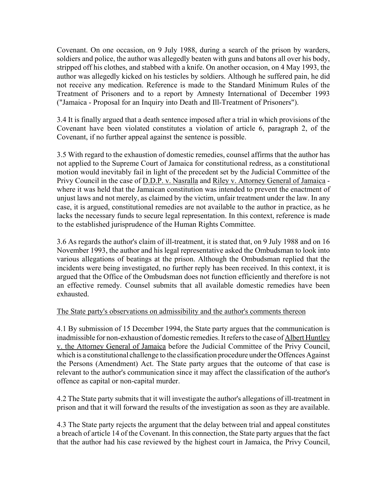Covenant. On one occasion, on 9 July 1988, during a search of the prison by warders, soldiers and police, the author was allegedly beaten with guns and batons all over his body, stripped off his clothes, and stabbed with a knife. On another occasion, on 4 May 1993, the author was allegedly kicked on his testicles by soldiers. Although he suffered pain, he did not receive any medication. Reference is made to the Standard Minimum Rules of the Treatment of Prisoners and to a report by Amnesty International of December 1993 ("Jamaica - Proposal for an Inquiry into Death and Ill-Treatment of Prisoners").

3.4 It is finally argued that a death sentence imposed after a trial in which provisions of the Covenant have been violated constitutes a violation of article 6, paragraph 2, of the Covenant, if no further appeal against the sentence is possible.

3.5 With regard to the exhaustion of domestic remedies, counsel affirms that the author has not applied to the Supreme Court of Jamaica for constitutional redress, as a constitutional motion would inevitably fail in light of the precedent set by the Judicial Committee of the Privy Council in the case of D.D.P. v. Nasralla and Riley v. Attorney General of Jamaica where it was held that the Jamaican constitution was intended to prevent the enactment of unjust laws and not merely, as claimed by the victim, unfair treatment under the law. In any case, it is argued, constitutional remedies are not available to the author in practice, as he lacks the necessary funds to secure legal representation. In this context, reference is made to the established jurisprudence of the Human Rights Committee.

3.6 As regards the author's claim of ill-treatment, it is stated that, on 9 July 1988 and on 16 November 1993, the author and his legal representative asked the Ombudsman to look into various allegations of beatings at the prison. Although the Ombudsman replied that the incidents were being investigated, no further reply has been received. In this context, it is argued that the Office of the Ombudsman does not function efficiently and therefore is not an effective remedy. Counsel submits that all available domestic remedies have been exhausted.

# The State party's observations on admissibility and the author's comments thereon

4.1 By submission of 15 December 1994, the State party argues that the communication is inadmissible for non-exhaustion of domestic remedies. It refers to the case of Albert Huntley v. the Attorney General of Jamaica before the Judicial Committee of the Privy Council, which is a constitutional challenge to the classification procedure under the Offences Against the Persons (Amendment) Act. The State party argues that the outcome of that case is relevant to the author's communication since it may affect the classification of the author's offence as capital or non-capital murder.

4.2 The State party submits that it will investigate the author's allegations of ill-treatment in prison and that it will forward the results of the investigation as soon as they are available.

4.3 The State party rejects the argument that the delay between trial and appeal constitutes a breach of article 14 of the Covenant. In this connection, the State party argues that the fact that the author had his case reviewed by the highest court in Jamaica, the Privy Council,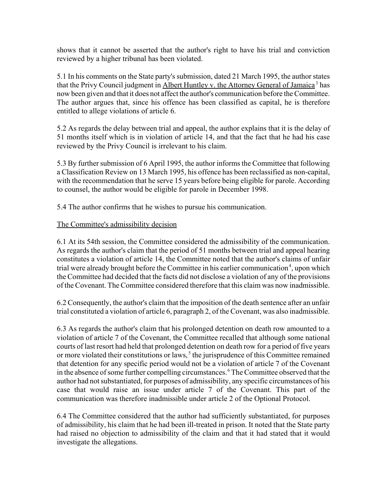shows that it cannot be asserted that the author's right to have his trial and conviction reviewed by a higher tribunal has been violated.

5.1 In his comments on the State party's submission, dated 21 March 1995, the author states that the Privy Council judgment in Albert Huntley v. the Attorney General of Jamaica<sup>3</sup> has now been given and that it does not affect the author's communication before the Committee. The author argues that, since his offence has been classified as capital, he is therefore entitled to allege violations of article 6.

5.2 As regards the delay between trial and appeal, the author explains that it is the delay of 51 months itself which is in violation of article 14, and that the fact that he had his case reviewed by the Privy Council is irrelevant to his claim.

5.3 By further submission of 6 April 1995, the author informs the Committee that following a Classification Review on 13 March 1995, his offence has been reclassified as non-capital, with the recommendation that he serve 15 years before being eligible for parole. According to counsel, the author would be eligible for parole in December 1998.

5.4 The author confirms that he wishes to pursue his communication.

### The Committee's admissibility decision

6.1 At its 54th session, the Committee considered the admissibility of the communication. As regards the author's claim that the period of 51 months between trial and appeal hearing constitutes a violation of article 14, the Committee noted that the author's claims of unfair trial were already brought before the Committee in his earlier communication<sup>4</sup>, upon which the Committee had decided that the facts did not disclose a violation of any of the provisions of the Covenant. The Committee considered therefore that this claim was now inadmissible.

6.2 Consequently, the author's claim that the imposition of the death sentence after an unfair trial constituted a violation of article 6, paragraph 2, of the Covenant, was also inadmissible.

6.3 As regards the author's claim that his prolonged detention on death row amounted to a violation of article 7 of the Covenant, the Committee recalled that although some national courts of last resort had held that prolonged detention on death row for a period of five years or more violated their constitutions or laws,  $<sup>5</sup>$  the jurisprudence of this Committee remained</sup> that detention for any specific period would not be a violation of article 7 of the Covenant in the absence of some further compelling circumstances. 6 The Committee observed that the author had not substantiated, for purposes of admissibility, any specific circumstances of his case that would raise an issue under article 7 of the Covenant. This part of the communication was therefore inadmissible under article 2 of the Optional Protocol.

6.4 The Committee considered that the author had sufficiently substantiated, for purposes of admissibility, his claim that he had been ill-treated in prison. It noted that the State party had raised no objection to admissibility of the claim and that it had stated that it would investigate the allegations.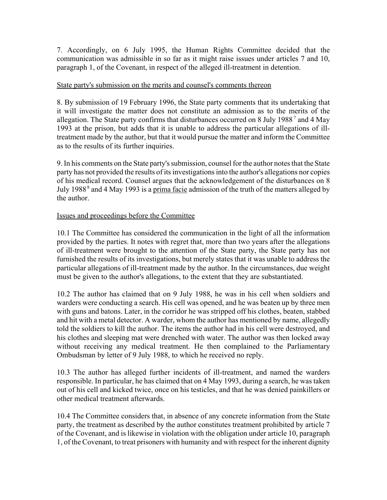7. Accordingly, on 6 July 1995, the Human Rights Committee decided that the communication was admissible in so far as it might raise issues under articles 7 and 10, paragraph 1, of the Covenant, in respect of the alleged ill-treatment in detention.

#### State party's submission on the merits and counsel's comments thereon

8. By submission of 19 February 1996, the State party comments that its undertaking that it will investigate the matter does not constitute an admission as to the merits of the allegation. The State party confirms that disturbances occurred on 8 July 1988<sup>7</sup> and 4 May 1993 at the prison, but adds that it is unable to address the particular allegations of illtreatment made by the author, but that it would pursue the matter and inform the Committee as to the results of its further inquiries.

9. In his comments on the State party's submission, counsel for the author notes that the State party has not provided the results of its investigations into the author's allegations nor copies of his medical record. Counsel argues that the acknowledgement of the disturbances on 8 July 1988<sup>8</sup> and 4 May 1993 is a prima facie admission of the truth of the matters alleged by the author.

### Issues and proceedings before the Committee

10.1 The Committee has considered the communication in the light of all the information provided by the parties. It notes with regret that, more than two years after the allegations of ill-treatment were brought to the attention of the State party, the State party has not furnished the results of its investigations, but merely states that it was unable to address the particular allegations of ill-treatment made by the author. In the circumstances, due weight must be given to the author's allegations, to the extent that they are substantiated.

10.2 The author has claimed that on 9 July 1988, he was in his cell when soldiers and warders were conducting a search. His cell was opened, and he was beaten up by three men with guns and batons. Later, in the corridor he was stripped off his clothes, beaten, stabbed and hit with a metal detector. A warder, whom the author has mentioned by name, allegedly told the soldiers to kill the author. The items the author had in his cell were destroyed, and his clothes and sleeping mat were drenched with water. The author was then locked away without receiving any medical treatment. He then complained to the Parliamentary Ombudsman by letter of 9 July 1988, to which he received no reply.

10.3 The author has alleged further incidents of ill-treatment, and named the warders responsible. In particular, he has claimed that on 4 May 1993, during a search, he was taken out of his cell and kicked twice, once on his testicles, and that he was denied painkillers or other medical treatment afterwards.

10.4 The Committee considers that, in absence of any concrete information from the State party, the treatment as described by the author constitutes treatment prohibited by article 7 of the Covenant, and is likewise in violation with the obligation under article 10, paragraph 1, of the Covenant, to treat prisoners with humanity and with respect for the inherent dignity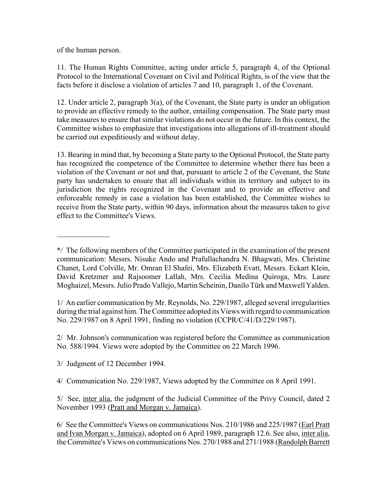of the human person.

 $\mathcal{L}_\text{max}$ 

11. The Human Rights Committee, acting under article 5, paragraph 4, of the Optional Protocol to the International Covenant on Civil and Political Rights, is of the view that the facts before it disclose a violation of articles 7 and 10, paragraph 1, of the Covenant.

12. Under article 2, paragraph 3(a), of the Covenant, the State party is under an obligation to provide an effective remedy to the author, entailing compensation. The State party must take measures to ensure that similar violations do not occur in the future. In this context, the Committee wishes to emphasize that investigations into allegations of ill-treatment should be carried out expeditiously and without delay.

13. Bearing in mind that, by becoming a State party to the Optional Protocol, the State party has recognized the competence of the Committee to determine whether there has been a violation of the Covenant or not and that, pursuant to article 2 of the Covenant, the State party has undertaken to ensure that all individuals within its territory and subject to its jurisdiction the rights recognized in the Covenant and to provide an effective and enforceable remedy in case a violation has been established, the Committee wishes to receive from the State party, within 90 days, information about the measures taken to give effect to the Committee's Views.

1/ An earlier communication by Mr. Reynolds, No. 229/1987, alleged several irregularities during the trial against him. The Committee adopted its Views with regard to communication No. 229/1987 on 8 April 1991, finding no violation (CCPR/C/41/D/229/1987).

2/ Mr. Johnson's communication was registered before the Committee as communication No. 588/1994. Views were adopted by the Committee on 22 March 1996.

3/ Judgment of 12 December 1994.

4/ Communication No. 229/1987, Views adopted by the Committee on 8 April 1991.

6/ See the Committee's Views on communications Nos. 210/1986 and 225/1987 (Earl Pratt and Ivan Morgan v. Jamaica), adopted on 6 April 1989, paragraph 12.6. See also, inter alia, the Committee's Views on communications Nos. 270/1988 and 271/1988 (Randolph Barrett

<sup>\*/</sup> The following members of the Committee participated in the examination of the present communication: Messrs. Nisuke Ando and Prafullachandra N. Bhagwati, Mrs. Christine Chanet, Lord Colville, Mr. Omran El Shafei, Mrs. Elizabeth Evatt, Messrs. Eckart Klein, David Kretzmer and Rajsoomer Lallah, Mrs. Cecilia Medina Quiroga, Mrs. Laure Moghaizel, Messrs. Julio Prado Vallejo, Martin Scheinin, Danilo Türk and Maxwell Yalden.

<sup>5/</sup> See, inter alia, the judgment of the Judicial Committee of the Privy Council, dated 2 November 1993 (Pratt and Morgan v. Jamaica).